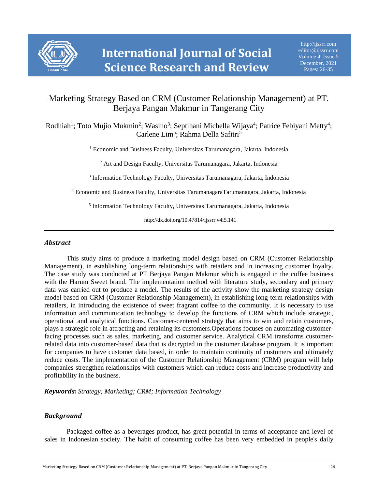

# Marketing Strategy Based on CRM (Customer Relationship Management) at PT. Berjaya Pangan Makmur in Tangerang City

Rodhiah<sup>1</sup>; Toto Mujio Mukmin<sup>2</sup>; Wasino<sup>3</sup>; Septihani Michella Wijaya<sup>4</sup>; Patrice Febiyani Metty<sup>4</sup>; Carlene Lim<sup>5</sup>; Rahma Della Safitri<sup>5</sup>

<sup>1</sup> Economic and Business Faculty, Universitas Tarumanagara, Jakarta, Indonesia

<sup>2</sup> Art and Design Faculty, Universitas Tarumanagara, Jakarta, Indonesia

3 Information Technology Faculty, Universitas Tarumanagara, Jakarta, Indonesia

<sup>4</sup> Economic and Business Faculty, Universitas TarumanagaraTarumanagara, Jakarta, Indonesia

5 Information Technology Faculty, Universitas Tarumanagara, Jakarta, Indonesia

http://dx.doi.org/10.47814/ijssrr.v4i5.141

#### *Abstract*

This study aims to produce a marketing model design based on CRM (Customer Relationship Management), in establishing long-term relationships with retailers and in increasing customer loyalty. The case study was conducted at PT Berjaya Pangan Makmur which is engaged in the coffee business with the Harum Sweet brand. The implementation method with literature study, secondary and primary data was carried out to produce a model. The results of the activity show the marketing strategy design model based on CRM (Customer Relationship Management), in establishing long-term relationships with retailers, in introducing the existence of sweet fragrant coffee to the community. It is necessary to use information and communication technology to develop the functions of CRM which include strategic, operational and analytical functions. Customer-centered strategy that aims to win and retain customers, plays a strategic role in attracting and retaining its customers.Operations focuses on automating customerfacing processes such as sales, marketing, and customer service. Analytical CRM transforms customerrelated data into customer-based data that is decrypted in the customer database program. It is important for companies to have customer data based, in order to maintain continuity of customers and ultimately reduce costs. The implementation of the Customer Relationship Management (CRM) program will help companies strengthen relationships with customers which can reduce costs and increase productivity and profitability in the business.

*Keywords: Strategy; Marketing; CRM; Information Technology*

## *Background*

Packaged coffee as a beverages product, has great potential in terms of acceptance and level of sales in Indonesian society. The habit of consuming coffee has been very embedded in people's daily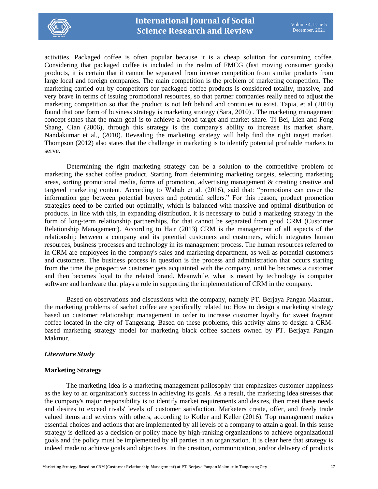

activities. Packaged coffee is often popular because it is a cheap solution for consuming coffee. Considering that packaged coffee is included in the realm of FMCG (fast moving consumer goods) products, it is certain that it cannot be separated from intense competition from similar products from large local and foreign companies. The main competition is the problem of marketing competition. The marketing carried out by competitors for packaged coffee products is considered totality, massive, and very brave in terms of issuing promotional resources, so that partner companies really need to adjust the marketing competition so that the product is not left behind and continues to exist. Tapia, et al (2010) found that one form of business strategy is marketing strategy (Sara, 2010) . The marketing management concept states that the main goal is to achieve a broad target and market share. Ti Bei, Lien and Fong Shang, Cian (2006), through this strategy is the company's ability to increase its market share. Nandakumar et al., (2010). Revealing the marketing strategy will help find the right target market. Thompson (2012) also states that the challenge in marketing is to identify potential profitable markets to serve.

Determining the right marketing strategy can be a solution to the competitive problem of marketing the sachet coffee product. Starting from determining marketing targets, selecting marketing areas, sorting promotional media, forms of promotion, advertising management & creating creative and targeted marketing content. According to Wahab et al. (2016), said that: "promotions can cover the information gap between potential buyers and potential sellers." For this reason, product promotion strategies need to be carried out optimally, which is balanced with massive and optimal distribution of products. In line with this, in expanding distribution, it is necessary to build a marketing strategy in the form of long-term relationship partnerships, for that cannot be separated from good CRM (Customer Relationship Management). According to Hair (2013) CRM is the management of all aspects of the relationship between a company and its potential customers and customers, which integrates human resources, business processes and technology in its management process. The human resources referred to in CRM are employees in the company's sales and marketing department, as well as potential customers and customers. The business process in question is the process and administration that occurs starting from the time the prospective customer gets acquainted with the company, until he becomes a customer and then becomes loyal to the related brand. Meanwhile, what is meant by technology is computer software and hardware that plays a role in supporting the implementation of CRM in the company.

Based on observations and discussions with the company, namely PT. Berjaya Pangan Makmur, the marketing problems of sachet coffee are specifically related to: How to design a marketing strategy based on customer relationshipt management in order to increase customer loyalty for sweet fragrant coffee located in the city of Tangerang. Based on these problems, this activity aims to design a CRMbased marketing strategy model for marketing black coffee sachets owned by PT. Berjaya Pangan Makmur.

## *Literature Study*

## **Marketing Strategy**

The marketing idea is a marketing management philosophy that emphasizes customer happiness as the key to an organization's success in achieving its goals. As a result, the marketing idea stresses that the company's major responsibility is to identify market requirements and desires, then meet these needs and desires to exceed rivals' levels of customer satisfaction. Marketers create, offer, and freely trade valued items and services with others, according to Kotler and Keller (2016). Top management makes essential choices and actions that are implemented by all levels of a company to attain a goal. In this sense strategy is defined as a decision or policy made by high-ranking organizations to achieve organizational goals and the policy must be implemented by all parties in an organization. It is clear here that strategy is indeed made to achieve goals and objectives. In the creation, communication, and/or delivery of products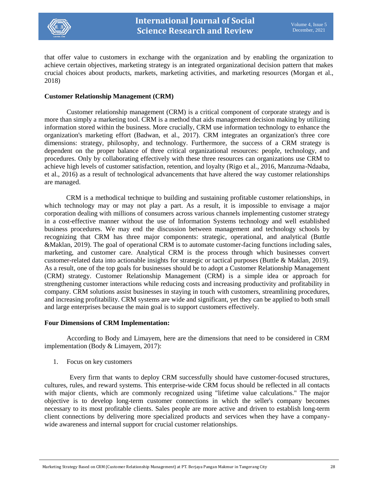

that offer value to customers in exchange with the organization and by enabling the organization to achieve certain objectives, marketing strategy is an integrated organizational decision pattern that makes crucial choices about products, markets, marketing activities, and marketing resources (Morgan et al., 2018)

#### **Customer Relationship Management (CRM)**

Customer relationship management (CRM) is a critical component of corporate strategy and is more than simply a marketing tool. CRM is a method that aids management decision making by utilizing information stored within the business. More crucially, CRM use information technology to enhance the organization's marketing effort (Badwan, et al., 2017). CRM integrates an organization's three core dimensions: strategy, philosophy, and technology. Furthermore, the success of a CRM strategy is dependent on the proper balance of three critical organizational resources: people, technology, and procedures. Only by collaborating effectively with these three resources can organizations use CRM to achieve high levels of customer satisfaction, retention, and loyalty (Rigo et al., 2016, Manzuma-Ndaaba, et al., 2016) as a result of technological advancements that have altered the way customer relationships are managed.

CRM is a methodical technique to building and sustaining profitable customer relationships, in which technology may or may not play a part. As a result, it is impossible to envisage a major corporation dealing with millions of consumers across various channels implementing customer strategy in a cost-effective manner without the use of Information Systems technology and well established business procedures. We may end the discussion between management and technology schools by recognizing that CRM has three major components: strategic, operational, and analytical (Buttle &Maklan, 2019). The goal of operational CRM is to automate customer-facing functions including sales, marketing, and customer care. Analytical CRM is the process through which businesses convert customer-related data into actionable insights for strategic or tactical purposes (Buttle & Maklan, 2019). As a result, one of the top goals for businesses should be to adopt a Customer Relationship Management (CRM) strategy. Customer Relationship Management (CRM) is a simple idea or approach for strengthening customer interactions while reducing costs and increasing productivity and profitability in company. CRM solutions assist businesses in staying in touch with customers, streamlining procedures, and increasing profitability. CRM systems are wide and significant, yet they can be applied to both small and large enterprises because the main goal is to support customers effectively.

#### **Four Dimensions of CRM Implementation:**

According to Body and Limayem, here are the dimensions that need to be considered in CRM implementation (Body & Limayem, 2017):

1. Focus on key customers

 Every firm that wants to deploy CRM successfully should have customer-focused structures, cultures, rules, and reward systems. This enterprise-wide CRM focus should be reflected in all contacts with major clients, which are commonly recognized using "lifetime value calculations." The major objective is to develop long-term customer connections in which the seller's company becomes necessary to its most profitable clients. Sales people are more active and driven to establish long-term client connections by delivering more specialized products and services when they have a companywide awareness and internal support for crucial customer relationships.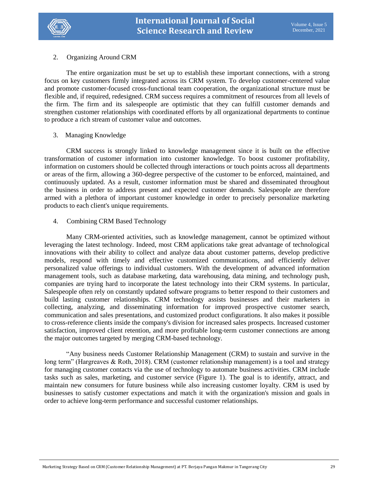

## 2. Organizing Around CRM

The entire organization must be set up to establish these important connections, with a strong focus on key customers firmly integrated across its CRM system. To develop customer-centered value and promote customer-focused cross-functional team cooperation, the organizational structure must be flexible and, if required, redesigned. CRM success requires a commitment of resources from all levels of the firm. The firm and its salespeople are optimistic that they can fulfill customer demands and strengthen customer relationships with coordinated efforts by all organizational departments to continue to produce a rich stream of customer value and outcomes.

## 3. Managing Knowledge

CRM success is strongly linked to knowledge management since it is built on the effective transformation of customer information into customer knowledge. To boost customer profitability, information on customers should be collected through interactions or touch points across all departments or areas of the firm, allowing a 360-degree perspective of the customer to be enforced, maintained, and continuously updated. As a result, customer information must be shared and disseminated throughout the business in order to address present and expected customer demands. Salespeople are therefore armed with a plethora of important customer knowledge in order to precisely personalize marketing products to each client's unique requirements.

## 4. Combining CRM Based Technology

Many CRM-oriented activities, such as knowledge management, cannot be optimized without leveraging the latest technology. Indeed, most CRM applications take great advantage of technological innovations with their ability to collect and analyze data about customer patterns, develop predictive models, respond with timely and effective customized communications, and efficiently deliver personalized value offerings to individual customers. With the development of advanced information management tools, such as database marketing, data warehousing, data mining, and technology push, companies are trying hard to incorporate the latest technology into their CRM systems. In particular, Salespeople often rely on constantly updated software programs to better respond to their customers and build lasting customer relationships. CRM technology assists businesses and their marketers in collecting, analyzing, and disseminating information for improved prospective customer search, communication and sales presentations, and customized product configurations. It also makes it possible to cross-reference clients inside the company's division for increased sales prospects. Increased customer satisfaction, improved client retention, and more profitable long-term customer connections are among the major outcomes targeted by merging CRM-based technology.

"Any business needs Customer Relationship Management (CRM) to sustain and survive in the long term" (Hargreaves & Roth, 2018). CRM (customer relationship management) is a tool and strategy for managing customer contacts via the use of technology to automate business activities. CRM include tasks such as sales, marketing, and customer service (Figure 1). The goal is to identify, attract, and maintain new consumers for future business while also increasing customer loyalty. CRM is used by businesses to satisfy customer expectations and match it with the organization's mission and goals in order to achieve long-term performance and successful customer relationships.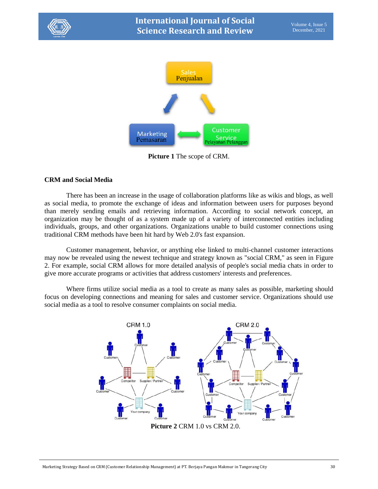



**Picture 1** The scope of CRM.

## **CRM and Social Media**

There has been an increase in the usage of collaboration platforms like as wikis and blogs, as well as social media, to promote the exchange of ideas and information between users for purposes beyond than merely sending emails and retrieving information. According to social network concept, an organization may be thought of as a system made up of a variety of interconnected entities including individuals, groups, and other organizations. Organizations unable to build customer connections using traditional CRM methods have been hit hard by Web 2.0's fast expansion.

Customer management, behavior, or anything else linked to multi-channel customer interactions may now be revealed using the newest technique and strategy known as "social CRM," as seen in Figure 2. For example, social CRM allows for more detailed analysis of people's social media chats in order to give more accurate programs or activities that address customers' interests and preferences.

Where firms utilize social media as a tool to create as many sales as possible, marketing should focus on developing connections and meaning for sales and customer service. Organizations should use social media as a tool to resolve consumer complaints on social media.

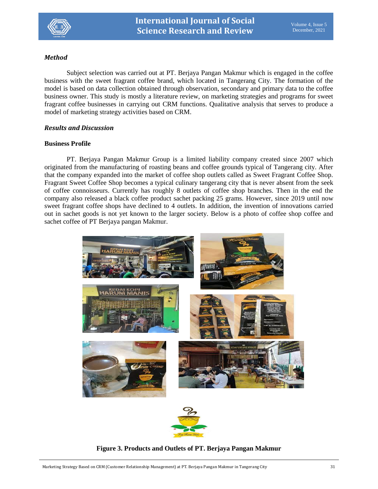

# *Method*

Subject selection was carried out at PT. Berjaya Pangan Makmur which is engaged in the coffee business with the sweet fragrant coffee brand, which located in Tangerang City. The formation of the model is based on data collection obtained through observation, secondary and primary data to the coffee business owner. This study is mostly a literature review, on marketing strategies and programs for sweet fragrant coffee businesses in carrying out CRM functions. Qualitative analysis that serves to produce a model of marketing strategy activities based on CRM.

# *Results and Discussion*

# **Business Profile**

PT. Berjaya Pangan Makmur Group is a limited liability company created since 2007 which originated from the manufacturing of roasting beans and coffee grounds typical of Tangerang city. After that the company expanded into the market of coffee shop outlets called as Sweet Fragrant Coffee Shop. Fragrant Sweet Coffee Shop becomes a typical culinary tangerang city that is never absent from the seek of coffee connoisseurs. Currently has roughly 8 outlets of coffee shop branches. Then in the end the company also released a black coffee product sachet packing 25 grams. However, since 2019 until now sweet fragrant coffee shops have declined to 4 outlets. In addition, the invention of innovations carried out in sachet goods is not yet known to the larger society. Below is a photo of coffee shop coffee and sachet coffee of PT Berjaya pangan Makmur.





# **Figure 3. Products and Outlets of PT. Berjaya Pangan Makmur**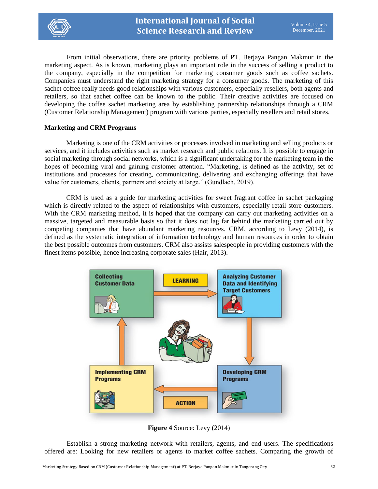

From initial observations, there are priority problems of PT. Berjaya Pangan Makmur in the marketing aspect. As is known, marketing plays an important role in the success of selling a product to the company, especially in the competition for marketing consumer goods such as coffee sachets. Companies must understand the right marketing strategy for a consumer goods. The marketing of this sachet coffee really needs good relationships with various customers, especially resellers, both agents and retailers, so that sachet coffee can be known to the public. Their creative activities are focused on developing the coffee sachet marketing area by establishing partnership relationships through a CRM (Customer Relationship Management) program with various parties, especially resellers and retail stores.

#### **Marketing and CRM Programs**

Marketing is one of the CRM activities or processes involved in marketing and selling products or services, and it includes activities such as market research and public relations. It is possible to engage in social marketing through social networks, which is a significant undertaking for the marketing team in the hopes of becoming viral and gaining customer attention. "Marketing, is defined as the activity, set of institutions and processes for creating, communicating, delivering and exchanging offerings that have value for customers, clients, partners and society at large." (Gundlach, 2019).

CRM is used as a guide for marketing activities for sweet fragrant coffee in sachet packaging which is directly related to the aspect of relationships with customers, especially retail store customers. With the CRM marketing method, it is hoped that the company can carry out marketing activities on a massive, targeted and measurable basis so that it does not lag far behind the marketing carried out by competing companies that have abundant marketing resources. CRM, according to Levy (2014), is defined as the systematic integration of information technology and human resources in order to obtain the best possible outcomes from customers. CRM also assists salespeople in providing customers with the finest items possible, hence increasing corporate sales (Hair, 2013).



**Figure 4** Source: Levy (2014)

Establish a strong marketing network with retailers, agents, and end users. The specifications offered are: Looking for new retailers or agents to market coffee sachets. Comparing the growth of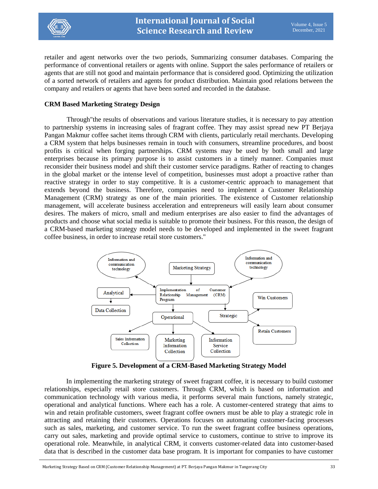

retailer and agent networks over the two periods, Summarizing consumer databases. Comparing the performance of conventional retailers or agents with online. Support the sales performance of retailers or agents that are still not good and maintain performance that is considered good. Optimizing the utilization of a sorted network of retailers and agents for product distribution. Maintain good relations between the company and retailers or agents that have been sorted and recorded in the database.

#### **CRM Based Marketing Strategy Design**

Through"the results of observations and various literature studies, it is necessary to pay attention to partnership systems in increasing sales of fragrant coffee. They may assist spread new PT Berjaya Pangan Makmur coffee sachet items through CRM with clients, particularly retail merchants. Developing a CRM system that helps businesses remain in touch with consumers, streamline procedures, and boost profits is critical when forging partnerships. CRM systems may be used by both small and large enterprises because its primary purpose is to assist customers in a timely manner. Companies must reconsider their business model and shift their customer service paradigms. Rather of reacting to changes in the global market or the intense level of competition, businesses must adopt a proactive rather than reactive strategy in order to stay competitive. It is a customer-centric approach to management that extends beyond the business. Therefore, companies need to implement a Customer Relationship Management (CRM) strategy as one of the main priorities. The existence of Customer relationship management, will accelerate business acceleration and entrepreneurs will easily learn about consumer desires. The makers of micro, small and medium enterprises are also easier to find the advantages of products and choose what social media is suitable to promote their business. For this reason, the design of a CRM-based marketing strategy model needs to be developed and implemented in the sweet fragrant coffee business, in order to increase retail store customers."



**Figure 5. Development of a CRM-Based Marketing Strategy Model**

In implementing the marketing strategy of sweet fragrant coffee, it is necessary to build customer relationships, especially retail store customers. Through CRM, which is based on information and communication technology with various media, it performs several main functions, namely strategic, operational and analytical functions. Where each has a role. A customer-centered strategy that aims to win and retain profitable customers, sweet fragrant coffee owners must be able to play a strategic role in attracting and retaining their customers. Operations focuses on automating customer-facing processes such as sales, marketing, and customer service. To run the sweet fragrant coffee business operations, carry out sales, marketing and provide optimal service to customers, continue to strive to improve its operational role. Meanwhile, in analytical CRM, it converts customer-related data into customer-based data that is described in the customer data base program. It is important for companies to have customer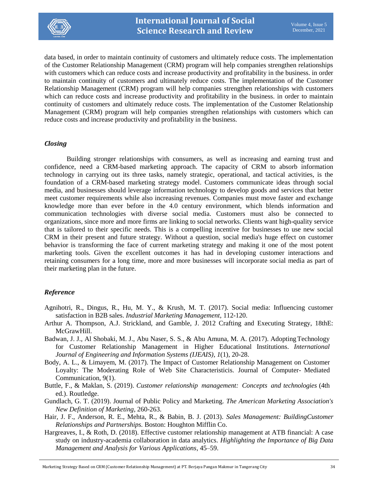

data based, in order to maintain continuity of customers and ultimately reduce costs. The implementation of the Customer Relationship Management (CRM) program will help companies strengthen relationships with customers which can reduce costs and increase productivity and profitability in the business. in order to maintain continuity of customers and ultimately reduce costs. The implementation of the Customer Relationship Management (CRM) program will help companies strengthen relationships with customers which can reduce costs and increase productivity and profitability in the business, in order to maintain continuity of customers and ultimately reduce costs. The implementation of the Customer Relationship Management (CRM) program will help companies strengthen relationships with customers which can reduce costs and increase productivity and profitability in the business.

#### *Closing*

Building stronger relationships with consumers, as well as increasing and earning trust and confidence, need a CRM-based marketing approach. The capacity of CRM to absorb information technology in carrying out its three tasks, namely strategic, operational, and tactical activities, is the foundation of a CRM-based marketing strategy model. Customers communicate ideas through social media, and businesses should leverage information technology to develop goods and services that better meet customer requirements while also increasing revenues. Companies must move faster and exchange knowledge more than ever before in the 4.0 century environment, which blends information and communication technologies with diverse social media. Customers must also be connected to organizations, since more and more firms are linking to social networks. Clients want high-quality service that is tailored to their specific needs. This is a compelling incentive for businesses to use new social CRM in their present and future strategy. Without a question, social media's huge effect on customer behavior is transforming the face of current marketing strategy and making it one of the most potent marketing tools. Given the excellent outcomes it has had in developing customer interactions and retaining consumers for a long time, more and more businesses will incorporate social media as part of their marketing plan in the future.

## *Reference*

- Agnihotri, R., Dingus, R., Hu, M. Y., & Krush, M. T. (2017). Social media: Influencing customer satisfaction in B2B sales. *Industrial Marketing Management*, 112-120.
- Arthur A. Thompson, A.J. Strickland, and Gamble, J. 2012 Crafting and Executing Strategy, 18thE: McGrawHill.
- Badwan, J. J., Al Shobaki, M. J., Abu Naser, S. S., & Abu Amuna, M. A. (2017). Adopting Technology for Customer Relationship Management in Higher Educational Institutions. *International Journal of Engineering and Information Systems (IJEAIS)*, *1*(1), 20-28.
- Body, A. L., & Limayem, M. (2017). The Impact of Customer Relationship Management on Customer Loyalty: The Moderating Role of Web Site Characteristicis. Journal of Computer- Mediated Communication, 9(1).
- Buttle, F., & Maklan, S. (2019). *Customer relationship management: Concepts and technologies* (4th ed.). Routledge.
- Gundlach, G. T. (2019). Journal of Public Policy and Marketing. *The American Marketing Association's New Definition of Marketing*, 260-263.
- Hair, J. F., Anderson, R. E., Mehta, R., & Babin, B. J. (2013). *Sales Management: BuildingCustomer Relationships and Partnerships.* Boston: Houghton Mifflin Co.
- Hargreaves, I., & Roth, D. (2018). Effective customer relationship management at ATB financial: A case study on industry-academia collaboration in data analytics. *Highlighting the Importance of Big Data Management and Analysis for Various Applications*, 45–59.

Marketing Strategy Based on CRM (Customer Relationship Management) at PT. Berjaya Pangan Makmur in Tangerang City 34